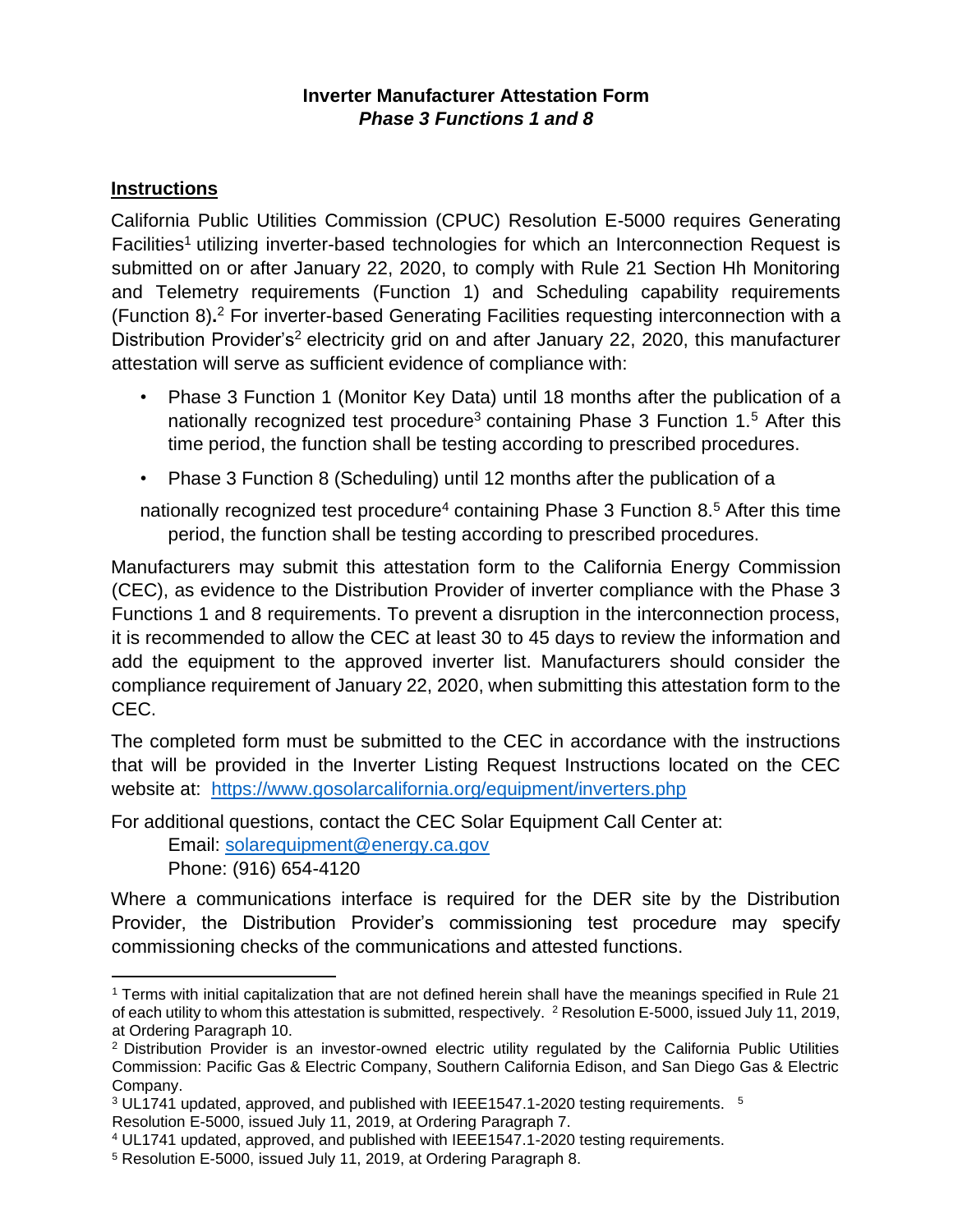#### **Inverter Manufacturer Attestation Form**  *Phase 3 Functions 1 and 8*

#### **Instructions**

California Public Utilities Commission (CPUC) Resolution E-5000 requires Generating Facilities<sup>1</sup> utilizing inverter-based technologies for which an Interconnection Request is submitted on or after January 22, 2020, to comply with Rule 21 Section Hh Monitoring and Telemetry requirements (Function 1) and Scheduling capability requirements (Function 8)**.** <sup>2</sup> For inverter-based Generating Facilities requesting interconnection with a Distribution Provider's<sup>2</sup> electricity grid on and after January 22, 2020, this manufacturer attestation will serve as sufficient evidence of compliance with:

- Phase 3 Function 1 (Monitor Key Data) until 18 months after the publication of a nationally recognized test procedure<sup>3</sup> containing Phase 3 Function 1.<sup>5</sup> After this time period, the function shall be testing according to prescribed procedures.
- Phase 3 Function 8 (Scheduling) until 12 months after the publication of a

nationally recognized test procedure<sup>4</sup> containing Phase 3 Function 8.<sup>5</sup> After this time period, the function shall be testing according to prescribed procedures.

Manufacturers may submit this attestation form to the California Energy Commission (CEC), as evidence to the Distribution Provider of inverter compliance with the Phase 3 Functions 1 and 8 requirements. To prevent a disruption in the interconnection process, it is recommended to allow the CEC at least 30 to 45 days to review the information and add the equipment to the approved inverter list. Manufacturers should consider the compliance requirement of January 22, 2020, when submitting this attestation form to the CEC.

The completed form must be submitted to the CEC in accordance with the instructions that will be provided in the Inverter Listing Request Instructions located on the CEC website at: <https://www.gosolarcalifornia.org/equipment/inverters.php>

For additional questions, contact the CEC Solar Equipment Call Center at:

Email: solarequipment@energy.ca.gov

Phone: (916) 654-4120

Where a communications interface is required for the DER site by the Distribution Provider, the Distribution Provider's commissioning test procedure may specify commissioning checks of the communications and attested functions.

<sup>1</sup> Terms with initial capitalization that are not defined herein shall have the meanings specified in Rule 21 of each utility to whom this attestation is submitted, respectively. <sup>2</sup> Resolution E-5000, issued July 11, 2019, at Ordering Paragraph 10.

<sup>2</sup> Distribution Provider is an investor-owned electric utility regulated by the California Public Utilities Commission: Pacific Gas & Electric Company, Southern California Edison, and San Diego Gas & Electric Company.

 $3$  UL1741 updated, approved, and published with IEEE1547.1-2020 testing requirements.  $5$ 

Resolution E-5000, issued July 11, 2019, at Ordering Paragraph 7.

<sup>4</sup> UL1741 updated, approved, and published with IEEE1547.1-2020 testing requirements.

<sup>5</sup> Resolution E-5000, issued July 11, 2019, at Ordering Paragraph 8.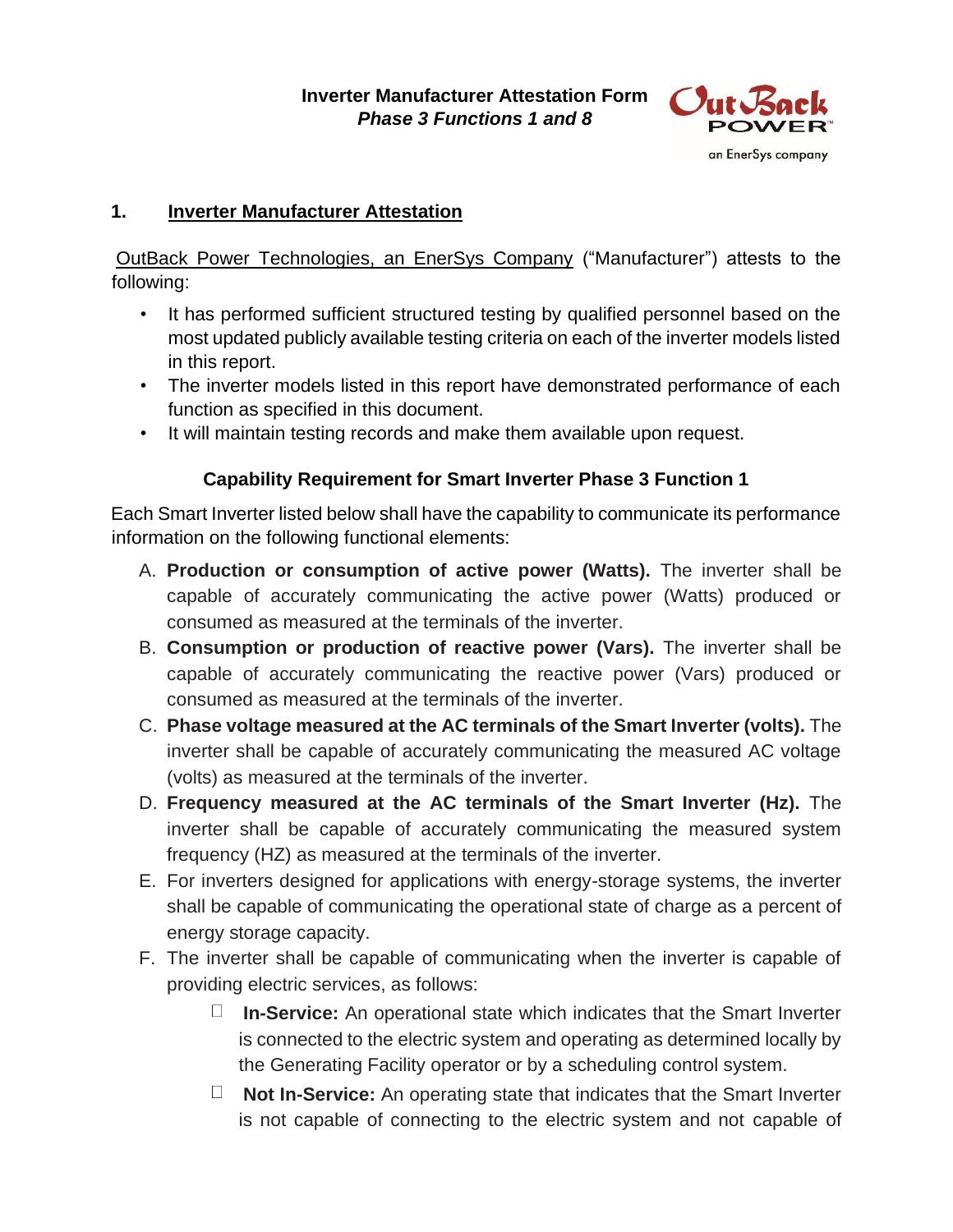

## **1. Inverter Manufacturer Attestation**

OutBack Power Technologies, an EnerSys Company ("Manufacturer") attests to the following:

- It has performed sufficient structured testing by qualified personnel based on the most updated publicly available testing criteria on each of the inverter models listed in this report.
- The inverter models listed in this report have demonstrated performance of each function as specified in this document.
- It will maintain testing records and make them available upon request.

# **Capability Requirement for Smart Inverter Phase 3 Function 1**

Each Smart Inverter listed below shall have the capability to communicate its performance information on the following functional elements:

- A. **Production or consumption of active power (Watts).** The inverter shall be capable of accurately communicating the active power (Watts) produced or consumed as measured at the terminals of the inverter.
- B. **Consumption or production of reactive power (Vars).** The inverter shall be capable of accurately communicating the reactive power (Vars) produced or consumed as measured at the terminals of the inverter.
- C. **Phase voltage measured at the AC terminals of the Smart Inverter (volts).** The inverter shall be capable of accurately communicating the measured AC voltage (volts) as measured at the terminals of the inverter.
- D. **Frequency measured at the AC terminals of the Smart Inverter (Hz).** The inverter shall be capable of accurately communicating the measured system frequency (HZ) as measured at the terminals of the inverter.
- E. For inverters designed for applications with energy-storage systems, the inverter shall be capable of communicating the operational state of charge as a percent of energy storage capacity.
- F. The inverter shall be capable of communicating when the inverter is capable of providing electric services, as follows:
	- $\Box$ **In-Service:** An operational state which indicates that the Smart Inverter is connected to the electric system and operating as determined locally by the Generating Facility operator or by a scheduling control system.
	- **Not In-Service:** An operating state that indicates that the Smart Inverter is not capable of connecting to the electric system and not capable of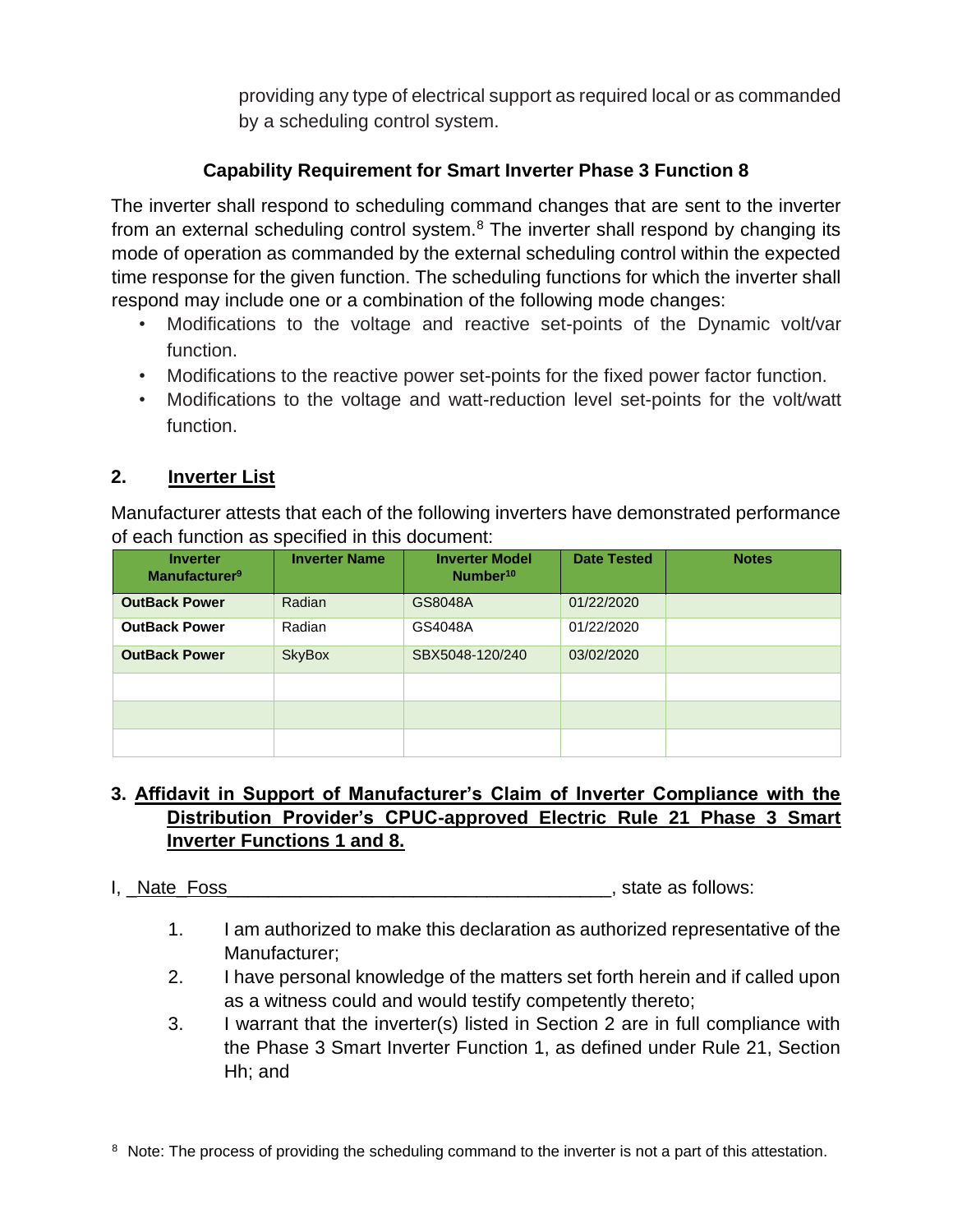providing any type of electrical support as required local or as commanded by a scheduling control system.

# **Capability Requirement for Smart Inverter Phase 3 Function 8**

The inverter shall respond to scheduling command changes that are sent to the inverter from an external scheduling control system. $8$  The inverter shall respond by changing its mode of operation as commanded by the external scheduling control within the expected time response for the given function. The scheduling functions for which the inverter shall respond may include one or a combination of the following mode changes:

- Modifications to the voltage and reactive set-points of the Dynamic volt/var function.
- Modifications to the reactive power set-points for the fixed power factor function.
- Modifications to the voltage and watt-reduction level set-points for the volt/watt function.

## **2. Inverter List**

Manufacturer attests that each of the following inverters have demonstrated performance of each function as specified in this document:

| <b>Inverter</b><br>Manufacturer <sup>9</sup> | <b>Inverter Name</b> | <b>Inverter Model</b><br>Number <sup>10</sup> | <b>Date Tested</b> | <b>Notes</b> |
|----------------------------------------------|----------------------|-----------------------------------------------|--------------------|--------------|
| <b>OutBack Power</b>                         | Radian               | GS8048A                                       | 01/22/2020         |              |
| <b>OutBack Power</b>                         | Radian               | GS4048A                                       | 01/22/2020         |              |
| <b>OutBack Power</b>                         | <b>SkyBox</b>        | SBX5048-120/240                               | 03/02/2020         |              |
|                                              |                      |                                               |                    |              |
|                                              |                      |                                               |                    |              |
|                                              |                      |                                               |                    |              |

# **3. Affidavit in Support of Manufacturer's Claim of Inverter Compliance with the Distribution Provider's CPUC-approved Electric Rule 21 Phase 3 Smart Inverter Functions 1 and 8.**

#### I, Nate Foss and the state as follows:

- 1. I am authorized to make this declaration as authorized representative of the Manufacturer;
- 2. I have personal knowledge of the matters set forth herein and if called upon as a witness could and would testify competently thereto;
- 3. I warrant that the inverter(s) listed in Section 2 are in full compliance with the Phase 3 Smart Inverter Function 1, as defined under Rule 21, Section Hh; and

<sup>8</sup> Note: The process of providing the scheduling command to the inverter is not a part of this attestation.